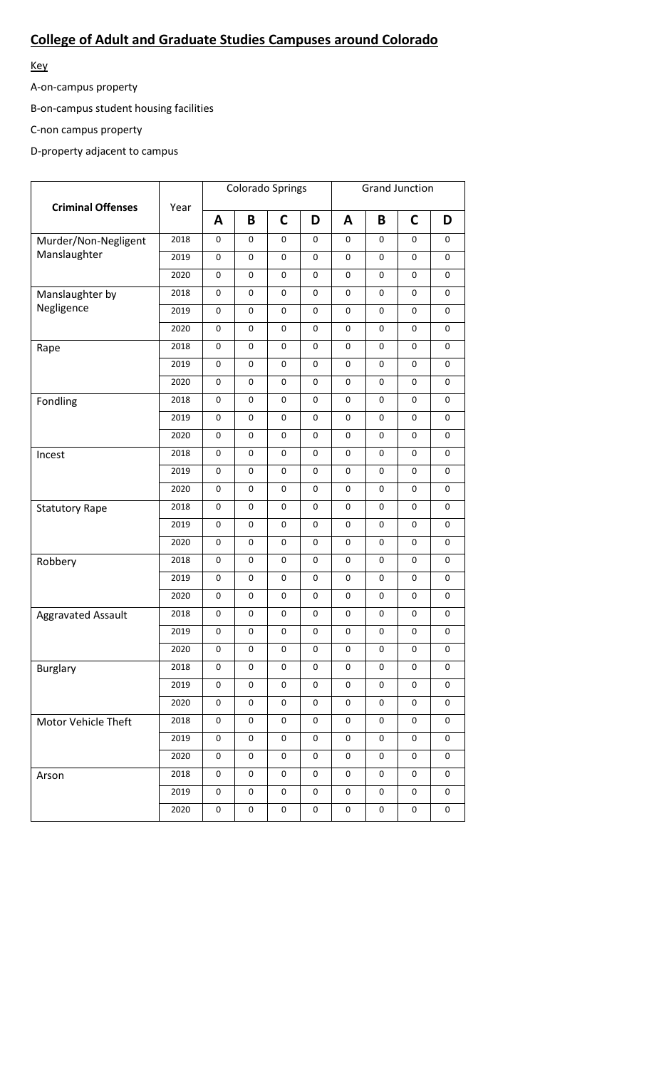## **College of Adult and Graduate Studies Campuses around Colorado**

Key

A-on-campus property

B-on-campus student housing facilities

C-non campus property

D-property adjacent to campus

| <b>Criminal Offenses</b>  | Year |             | <b>Colorado Springs</b> |                     |             | <b>Grand Junction</b> |             |             |                     |
|---------------------------|------|-------------|-------------------------|---------------------|-------------|-----------------------|-------------|-------------|---------------------|
|                           |      | A           | B                       | $\mathsf{C}$        | D           | A                     | B           | $\mathbf C$ | D                   |
| Murder/Non-Negligent      | 2018 | 0           | 0                       | 0                   | 0           | 0                     | 0           | 0           | 0                   |
| Manslaughter              | 2019 | $\mathsf 0$ | 0                       | 0                   | $\mathbf 0$ | 0                     | 0           | 0           | $\pmb{0}$           |
|                           | 2020 | 0           | 0                       | 0                   | $\mathbf 0$ | 0                     | 0           | 0           | 0                   |
| Manslaughter by           | 2018 | 0           | 0                       | 0                   | 0           | $\mathsf 0$           | 0           | 0           | 0                   |
| Negligence                | 2019 | $\pmb{0}$   | 0                       | 0                   | 0           | $\mathsf 0$           | 0           | 0           | 0                   |
|                           | 2020 | 0           | 0                       | 0                   | 0           | 0                     | 0           | 0           | 0                   |
| Rape                      | 2018 | 0           | 0                       | 0                   | 0           | 0                     | 0           | 0           | 0                   |
|                           | 2019 | 0           | 0                       | 0                   | 0           | 0                     | 0           | 0           | $\mathsf 0$         |
|                           | 2020 | 0           | 0                       | 0                   | 0           | $\mathsf 0$           | 0           | 0           | 0                   |
| Fondling                  | 2018 | $\pmb{0}$   | 0                       | 0                   | 0           | 0                     | 0           | 0           | 0                   |
|                           | 2019 | 0           | 0                       | 0                   | 0           | 0                     | 0           | 0           | 0                   |
|                           | 2020 | 0           | 0                       | 0                   | 0           | 0                     | 0           | 0           | 0                   |
| Incest                    | 2018 | 0           | 0                       | 0                   | $\mathbf 0$ | 0                     | $\mathbf 0$ | 0           | $\mathsf 0$         |
|                           | 2019 | $\mathsf 0$ | 0                       | $\mathsf 0$         | 0           | $\mathsf 0$           | 0           | 0           | $\pmb{0}$           |
|                           | 2020 | $\pmb{0}$   | 0                       | 0                   | 0           | $\mathsf 0$           | 0           | 0           | 0                   |
| <b>Statutory Rape</b>     | 2018 | $\mathsf 0$ | 0                       | 0                   | 0           | 0                     | 0           | 0           | 0                   |
|                           | 2019 | $\mathsf 0$ | 0                       | 0                   | 0           | 0                     | 0           | $\mathbf 0$ | 0                   |
|                           | 2020 | 0           | 0                       | 0                   | $\mathbf 0$ | 0                     | 0           | $\mathbf 0$ | 0                   |
| Robbery                   | 2018 | 0           | 0                       | 0                   | $\mathbf 0$ | $\mathsf 0$           | 0           | $\mathbf 0$ | 0                   |
|                           | 2019 | $\pmb{0}$   | 0                       | 0                   | $\mathbf 0$ | $\mathsf 0$           | 0           | $\mathbf 0$ | 0                   |
|                           | 2020 | 0           | 0                       | 0                   | 0           | 0                     | 0           | $\mathbf 0$ | 0                   |
| <b>Aggravated Assault</b> | 2018 | 0           | 0                       | 0                   | 0           | 0                     | 0           | 0           | 0                   |
|                           | 2019 | 0           | 0                       | 0                   | $\mathbf 0$ | 0                     | 0           | $\mathbf 0$ | $\mathsf 0$         |
|                           | 2020 | $\pmb{0}$   | 0                       | 0                   | 0           | 0                     | 0           | 0           | $\pmb{0}$           |
| Burglary                  | 2018 | 0           | 0                       | 0                   | $\pmb{0}$   | $\mathsf 0$           | 0           | 0           | 0                   |
|                           | 2019 | 0           | 0                       | 0                   | 0           | 0                     | 0           | 0           | 0                   |
|                           | 2020 | 0           | 0                       | 0                   | 0           | 0                     | 0           | $\pmb{0}$   | $\pmb{0}$           |
| Motor Vehicle Theft       | 2018 | 0           | 0                       | $\mathsf{O}\xspace$ | $\pmb{0}$   | 0                     | 0           | $\pmb{0}$   | $\pmb{0}$           |
|                           | 2019 | 0           | 0                       | 0                   | 0           | 0                     | $\mathsf 0$ | $\pmb{0}$   | $\mathsf{O}\xspace$ |
|                           | 2020 | 0           | $\mathsf 0$             | $\pmb{0}$           | 0           | 0                     | 0           | $\pmb{0}$   | 0                   |
| Arson                     | 2018 | 0           | 0                       | 0                   | 0           | 0                     | 0           | 0           | 0                   |
|                           | 2019 | 0           | 0                       | 0                   | 0           | 0                     | 0           | 0           | 0                   |
|                           | 2020 | 0           | 0                       | 0                   | $\pmb{0}$   | 0                     | 0           | $\pmb{0}$   | $\mathsf 0$         |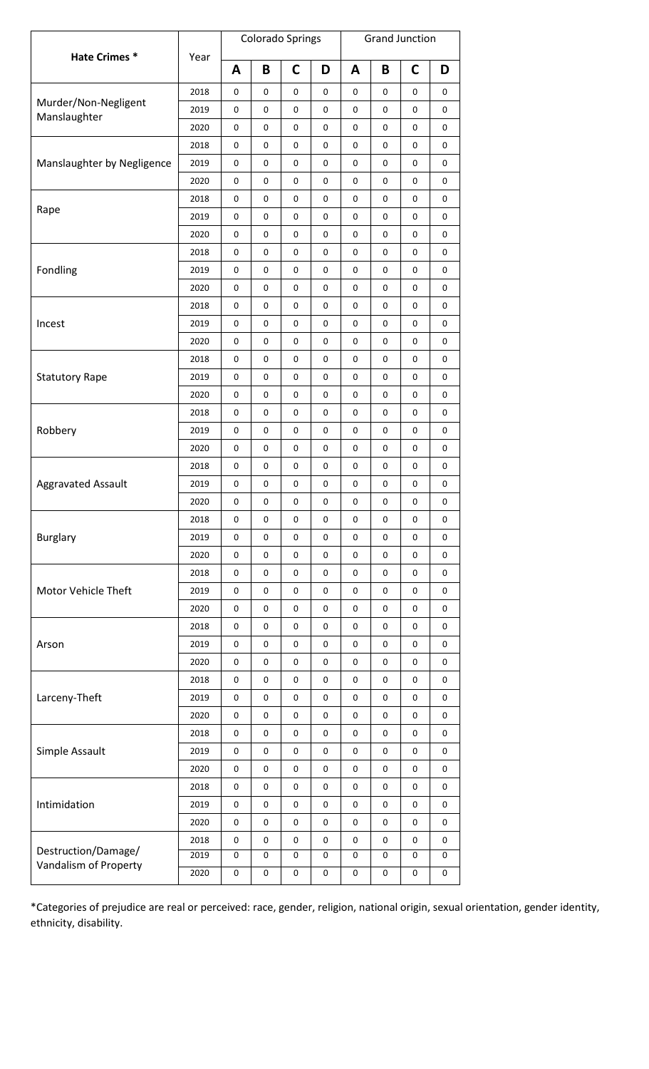|                                              | Year |             |             | <b>Colorado Springs</b> |                                                                                                                                                                                                                                                                                                                                                                                                                                                                                                                                                                                                                                                                                                                                                                                                                                                                                                                    | <b>Grand Junction</b> |           |             |   |
|----------------------------------------------|------|-------------|-------------|-------------------------|--------------------------------------------------------------------------------------------------------------------------------------------------------------------------------------------------------------------------------------------------------------------------------------------------------------------------------------------------------------------------------------------------------------------------------------------------------------------------------------------------------------------------------------------------------------------------------------------------------------------------------------------------------------------------------------------------------------------------------------------------------------------------------------------------------------------------------------------------------------------------------------------------------------------|-----------------------|-----------|-------------|---|
| Hate Crimes*                                 |      | A           | B           | C                       | D                                                                                                                                                                                                                                                                                                                                                                                                                                                                                                                                                                                                                                                                                                                                                                                                                                                                                                                  | A                     | B         | C           | D |
|                                              | 2018 | 0           | 0           | 0                       | 0                                                                                                                                                                                                                                                                                                                                                                                                                                                                                                                                                                                                                                                                                                                                                                                                                                                                                                                  | 0                     | 0         | 0           | 0 |
| Murder/Non-Negligent                         | 2019 | 0           | 0           | 0                       | 0                                                                                                                                                                                                                                                                                                                                                                                                                                                                                                                                                                                                                                                                                                                                                                                                                                                                                                                  | 0                     | 0         | 0           | 0 |
| Manslaughter                                 | 2020 | $\pmb{0}$   | $\pmb{0}$   | 0                       | $\pmb{0}$<br>0<br>0<br>0<br>0<br>0<br>0<br>$\mathbf 0$<br>0<br>0<br>0<br>0<br>0<br>0<br>0<br>0<br>$\pmb{0}$<br>0<br>0<br>0<br>0<br>0<br>0<br>0<br>0<br>$\mathbf 0$<br>0<br>0<br>0<br>0<br>0<br>0<br>$\mathbf 0$<br>0<br>0<br>0<br>0<br>0<br>0<br>0<br>0<br>0<br>0<br>0<br>0<br>$\pmb{0}$<br>0<br>$\mathbf 0$<br>0<br>0<br>$\mathbf 0$<br>0<br>$\pmb{0}$<br>0<br>$\mathbf 0$<br>0<br>0<br>0<br>0<br>0<br>0<br>0<br>0<br>0<br>0<br>0<br>0<br>0<br>0<br>$\pmb{0}$<br>$\pmb{0}$<br>0<br>$\pmb{0}$<br>$\pmb{0}$<br>0<br>$\mathbf 0$<br>0<br>0<br>$\mathsf 0$<br>0<br>0<br>0<br>0<br>0<br>$\pmb{0}$<br>$\mathbf 0$<br>0<br>$\pmb{0}$<br>$\pmb{0}$<br>0<br>$\mathbf 0$<br>0<br>0<br>$\mathsf 0$<br>0<br>0<br>0<br>0<br>0<br>$\pmb{0}$<br>$\mathbf 0$<br>0<br>$\pmb{0}$<br>$\mathsf{O}\xspace$<br>$\pmb{0}$<br>0<br>0<br>0<br>$\mathbf 0$<br>0<br>0<br>0<br>0<br>0<br>0<br>$\mathbf 0$<br>$\pmb{0}$<br>$\pmb{0}$<br>0<br>0 |                       | $\pmb{0}$ | 0           |   |
|                                              | 2018 | 0           | 0           | 0                       |                                                                                                                                                                                                                                                                                                                                                                                                                                                                                                                                                                                                                                                                                                                                                                                                                                                                                                                    |                       |           | 0           | 0 |
| Manslaughter by Negligence                   | 2019 | 0           | 0           | 0                       |                                                                                                                                                                                                                                                                                                                                                                                                                                                                                                                                                                                                                                                                                                                                                                                                                                                                                                                    |                       |           | 0           | 0 |
|                                              | 2020 | $\pmb{0}$   | $\mathbf 0$ | 0                       |                                                                                                                                                                                                                                                                                                                                                                                                                                                                                                                                                                                                                                                                                                                                                                                                                                                                                                                    |                       |           | 0           | 0 |
|                                              | 2018 | 0           | 0           | 0                       |                                                                                                                                                                                                                                                                                                                                                                                                                                                                                                                                                                                                                                                                                                                                                                                                                                                                                                                    |                       |           | $\pmb{0}$   | 0 |
| Rape                                         | 2019 | $\pmb{0}$   | $\pmb{0}$   | 0                       |                                                                                                                                                                                                                                                                                                                                                                                                                                                                                                                                                                                                                                                                                                                                                                                                                                                                                                                    |                       |           | $\pmb{0}$   | 0 |
|                                              | 2020 | 0           | 0           | 0                       |                                                                                                                                                                                                                                                                                                                                                                                                                                                                                                                                                                                                                                                                                                                                                                                                                                                                                                                    |                       |           | 0           | 0 |
|                                              | 2018 | 0           | 0           | 0                       |                                                                                                                                                                                                                                                                                                                                                                                                                                                                                                                                                                                                                                                                                                                                                                                                                                                                                                                    |                       |           | 0           | 0 |
| Fondling                                     | 2019 | $\mathsf 0$ | $\pmb{0}$   | 0                       |                                                                                                                                                                                                                                                                                                                                                                                                                                                                                                                                                                                                                                                                                                                                                                                                                                                                                                                    |                       |           | 0           | 0 |
|                                              | 2020 | 0           | 0           | 0                       |                                                                                                                                                                                                                                                                                                                                                                                                                                                                                                                                                                                                                                                                                                                                                                                                                                                                                                                    |                       |           | 0           | 0 |
|                                              | 2018 | $\pmb{0}$   | $\pmb{0}$   | 0                       |                                                                                                                                                                                                                                                                                                                                                                                                                                                                                                                                                                                                                                                                                                                                                                                                                                                                                                                    |                       |           | 0           | 0 |
| Incest                                       | 2019 | 0           | 0           | 0                       |                                                                                                                                                                                                                                                                                                                                                                                                                                                                                                                                                                                                                                                                                                                                                                                                                                                                                                                    |                       |           | 0           | 0 |
|                                              | 2020 | 0           | 0           | 0                       |                                                                                                                                                                                                                                                                                                                                                                                                                                                                                                                                                                                                                                                                                                                                                                                                                                                                                                                    |                       |           | 0           | 0 |
|                                              | 2018 | 0           | 0           | 0                       |                                                                                                                                                                                                                                                                                                                                                                                                                                                                                                                                                                                                                                                                                                                                                                                                                                                                                                                    |                       |           | 0           | 0 |
| <b>Statutory Rape</b>                        | 2019 | 0           | 0           | 0                       |                                                                                                                                                                                                                                                                                                                                                                                                                                                                                                                                                                                                                                                                                                                                                                                                                                                                                                                    |                       |           | 0           | 0 |
|                                              | 2020 | 0           | $\pmb{0}$   | 0                       |                                                                                                                                                                                                                                                                                                                                                                                                                                                                                                                                                                                                                                                                                                                                                                                                                                                                                                                    |                       |           | 0           | 0 |
|                                              | 2018 | 0           | 0           | 0                       |                                                                                                                                                                                                                                                                                                                                                                                                                                                                                                                                                                                                                                                                                                                                                                                                                                                                                                                    |                       |           | 0           | 0 |
| Robbery                                      | 2019 | 0           | 0           | 0                       |                                                                                                                                                                                                                                                                                                                                                                                                                                                                                                                                                                                                                                                                                                                                                                                                                                                                                                                    |                       |           | 0           | 0 |
|                                              | 2020 | $\pmb{0}$   | $\mathbf 0$ | 0                       |                                                                                                                                                                                                                                                                                                                                                                                                                                                                                                                                                                                                                                                                                                                                                                                                                                                                                                                    |                       |           | $\mathbf 0$ | 0 |
| <b>Aggravated Assault</b>                    | 2018 | 0           | 0           | 0                       |                                                                                                                                                                                                                                                                                                                                                                                                                                                                                                                                                                                                                                                                                                                                                                                                                                                                                                                    |                       |           | 0           | 0 |
|                                              | 2019 | 0           | 0           | 0                       |                                                                                                                                                                                                                                                                                                                                                                                                                                                                                                                                                                                                                                                                                                                                                                                                                                                                                                                    |                       |           | 0           | 0 |
|                                              | 2020 | 0           | 0           | 0                       |                                                                                                                                                                                                                                                                                                                                                                                                                                                                                                                                                                                                                                                                                                                                                                                                                                                                                                                    |                       |           | 0           | 0 |
|                                              | 2018 | 0           | 0           | 0                       |                                                                                                                                                                                                                                                                                                                                                                                                                                                                                                                                                                                                                                                                                                                                                                                                                                                                                                                    |                       |           | 0           | 0 |
| <b>Burglary</b>                              | 2019 | $\pmb{0}$   | $\pmb{0}$   | 0                       |                                                                                                                                                                                                                                                                                                                                                                                                                                                                                                                                                                                                                                                                                                                                                                                                                                                                                                                    |                       |           | $\pmb{0}$   | 0 |
|                                              | 2020 | $\pmb{0}$   | $\pmb{0}$   | 0                       |                                                                                                                                                                                                                                                                                                                                                                                                                                                                                                                                                                                                                                                                                                                                                                                                                                                                                                                    |                       |           | $\pmb{0}$   | 0 |
|                                              | 2018 | 0           | $\pmb{0}$   | 0                       |                                                                                                                                                                                                                                                                                                                                                                                                                                                                                                                                                                                                                                                                                                                                                                                                                                                                                                                    |                       |           | 0           | 0 |
| Motor Vehicle Theft                          | 2019 | 0           | $\mathsf 0$ | 0                       |                                                                                                                                                                                                                                                                                                                                                                                                                                                                                                                                                                                                                                                                                                                                                                                                                                                                                                                    |                       |           | 0           | 0 |
|                                              | 2020 | 0           | 0           | 0                       |                                                                                                                                                                                                                                                                                                                                                                                                                                                                                                                                                                                                                                                                                                                                                                                                                                                                                                                    |                       |           | 0           | 0 |
|                                              | 2018 | $\mathsf 0$ | $\pmb{0}$   | 0                       |                                                                                                                                                                                                                                                                                                                                                                                                                                                                                                                                                                                                                                                                                                                                                                                                                                                                                                                    |                       |           | $\pmb{0}$   | 0 |
| Arson                                        | 2019 | 0           | 0           | 0                       |                                                                                                                                                                                                                                                                                                                                                                                                                                                                                                                                                                                                                                                                                                                                                                                                                                                                                                                    |                       |           | $\pmb{0}$   | 0 |
|                                              | 2020 | 0           | $\pmb{0}$   | 0                       |                                                                                                                                                                                                                                                                                                                                                                                                                                                                                                                                                                                                                                                                                                                                                                                                                                                                                                                    |                       |           | 0           | 0 |
|                                              | 2018 | 0           | $\mathsf 0$ | 0                       |                                                                                                                                                                                                                                                                                                                                                                                                                                                                                                                                                                                                                                                                                                                                                                                                                                                                                                                    |                       |           | $\mathbf 0$ | 0 |
| Larceny-Theft                                | 2019 | 0           | 0           | $\pmb{0}$               |                                                                                                                                                                                                                                                                                                                                                                                                                                                                                                                                                                                                                                                                                                                                                                                                                                                                                                                    |                       |           | 0           | 0 |
|                                              | 2020 | $\pmb{0}$   | $\pmb{0}$   | 0                       |                                                                                                                                                                                                                                                                                                                                                                                                                                                                                                                                                                                                                                                                                                                                                                                                                                                                                                                    |                       |           | $\pmb{0}$   | 0 |
|                                              | 2018 | $\mathbf 0$ | 0           | 0                       |                                                                                                                                                                                                                                                                                                                                                                                                                                                                                                                                                                                                                                                                                                                                                                                                                                                                                                                    |                       |           | $\pmb{0}$   | 0 |
| Simple Assault                               | 2019 | $\pmb{0}$   | $\pmb{0}$   | 0                       |                                                                                                                                                                                                                                                                                                                                                                                                                                                                                                                                                                                                                                                                                                                                                                                                                                                                                                                    |                       |           | $\pmb{0}$   | 0 |
|                                              | 2020 | 0           | $\mathsf 0$ | 0                       |                                                                                                                                                                                                                                                                                                                                                                                                                                                                                                                                                                                                                                                                                                                                                                                                                                                                                                                    |                       |           | $\mathbf 0$ | 0 |
|                                              | 2018 | 0           | 0           | 0                       |                                                                                                                                                                                                                                                                                                                                                                                                                                                                                                                                                                                                                                                                                                                                                                                                                                                                                                                    |                       |           | 0           | 0 |
| Intimidation                                 | 2019 | 0           | 0           | 0                       |                                                                                                                                                                                                                                                                                                                                                                                                                                                                                                                                                                                                                                                                                                                                                                                                                                                                                                                    |                       |           | 0           | 0 |
|                                              | 2020 | $\mathbf 0$ | 0           | 0                       |                                                                                                                                                                                                                                                                                                                                                                                                                                                                                                                                                                                                                                                                                                                                                                                                                                                                                                                    |                       |           | $\pmb{0}$   | 0 |
|                                              | 2018 | 0           | $\mathsf 0$ | $\pmb{0}$               | 0                                                                                                                                                                                                                                                                                                                                                                                                                                                                                                                                                                                                                                                                                                                                                                                                                                                                                                                  | 0                     | 0         | 0           | 0 |
| Destruction/Damage/<br>Vandalism of Property | 2019 | 0           | 0           | 0                       | 0                                                                                                                                                                                                                                                                                                                                                                                                                                                                                                                                                                                                                                                                                                                                                                                                                                                                                                                  | 0                     | 0         | 0           | 0 |
|                                              | 2020 | 0           | 0           | 0                       | 0                                                                                                                                                                                                                                                                                                                                                                                                                                                                                                                                                                                                                                                                                                                                                                                                                                                                                                                  | 0                     | 0         | 0           | 0 |

\*Categories of prejudice are real or perceived: race, gender, religion, national origin, sexual orientation, gender identity, ethnicity, disability.